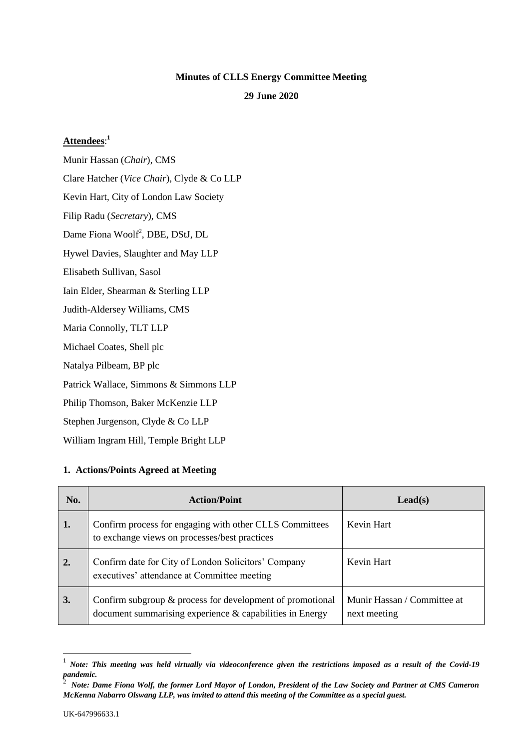#### **Minutes of CLLS Energy Committee Meeting**

#### **29 June 2020**

## **Attendees**: **1**

Munir Hassan (*Chair*), CMS Clare Hatcher (*Vice Chair*), Clyde & Co LLP Kevin Hart, City of London Law Society Filip Radu (*Secretary*), CMS Dame Fiona Woolf<sup>2</sup>, DBE, DStJ, DL Hywel Davies, Slaughter and May LLP Elisabeth Sullivan, Sasol Iain Elder, Shearman & Sterling LLP Judith-Aldersey Williams, CMS Maria Connolly, TLT LLP Michael Coates, Shell plc Natalya Pilbeam, BP plc Patrick Wallace, Simmons & Simmons LLP Philip Thomson, Baker McKenzie LLP Stephen Jurgenson, Clyde & Co LLP William Ingram Hill, Temple Bright LLP

### **1. Actions/Points Agreed at Meeting**

| No. | <b>Action/Point</b>                                                                                                      | $\text{Lead}(s)$                            |
|-----|--------------------------------------------------------------------------------------------------------------------------|---------------------------------------------|
| 1.  | Confirm process for engaging with other CLLS Committees<br>to exchange views on processes/best practices                 | Kevin Hart                                  |
| 2.  | Confirm date for City of London Solicitors' Company<br>executives' attendance at Committee meeting                       | Kevin Hart                                  |
| 3.  | Confirm subgroup & process for development of promotional<br>document summarising experience $\&$ capabilities in Energy | Munir Hassan / Committee at<br>next meeting |

<sup>1</sup> *Note: This meeting was held virtually via videoconference given the restrictions imposed as a result of the Covid-19 pandemic.* 2

l

*Note: Dame Fiona Wolf, the former Lord Mayor of London, President of the Law Society and Partner at CMS Cameron McKenna Nabarro Olswang LLP, was invited to attend this meeting of the Committee as a special guest.*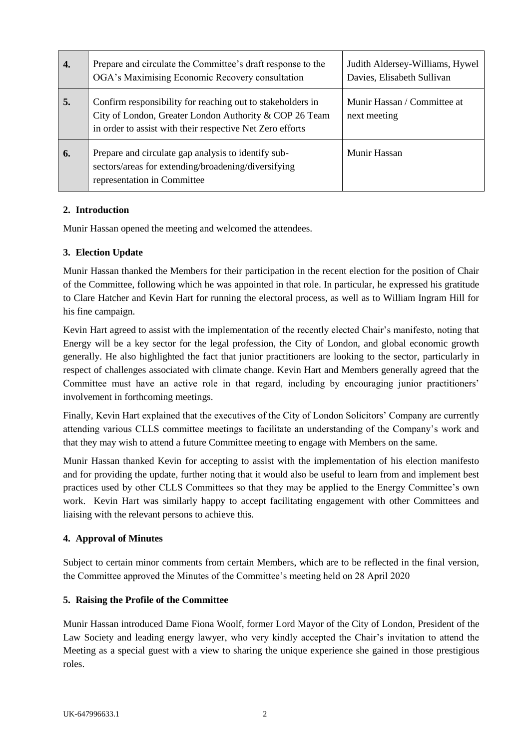| 4. | Prepare and circulate the Committee's draft response to the<br>OGA's Maximising Economic Recovery consultation                                                                     | Judith Aldersey-Williams, Hywel<br>Davies, Elisabeth Sullivan |
|----|------------------------------------------------------------------------------------------------------------------------------------------------------------------------------------|---------------------------------------------------------------|
| 5. | Confirm responsibility for reaching out to stake holders in<br>City of London, Greater London Authority & COP 26 Team<br>in order to assist with their respective Net Zero efforts | Munir Hassan / Committee at<br>next meeting                   |
| 6. | Prepare and circulate gap analysis to identify sub-<br>sectors/areas for extending/broadening/diversifying<br>representation in Committee                                          | Munir Hassan                                                  |

## **2. Introduction**

Munir Hassan opened the meeting and welcomed the attendees.

# **3. Election Update**

Munir Hassan thanked the Members for their participation in the recent election for the position of Chair of the Committee, following which he was appointed in that role. In particular, he expressed his gratitude to Clare Hatcher and Kevin Hart for running the electoral process, as well as to William Ingram Hill for his fine campaign.

Kevin Hart agreed to assist with the implementation of the recently elected Chair's manifesto, noting that Energy will be a key sector for the legal profession, the City of London, and global economic growth generally. He also highlighted the fact that junior practitioners are looking to the sector, particularly in respect of challenges associated with climate change. Kevin Hart and Members generally agreed that the Committee must have an active role in that regard, including by encouraging junior practitioners' involvement in forthcoming meetings.

Finally, Kevin Hart explained that the executives of the City of London Solicitors' Company are currently attending various CLLS committee meetings to facilitate an understanding of the Company's work and that they may wish to attend a future Committee meeting to engage with Members on the same.

Munir Hassan thanked Kevin for accepting to assist with the implementation of his election manifesto and for providing the update, further noting that it would also be useful to learn from and implement best practices used by other CLLS Committees so that they may be applied to the Energy Committee's own work. Kevin Hart was similarly happy to accept facilitating engagement with other Committees and liaising with the relevant persons to achieve this.

### **4. Approval of Minutes**

Subject to certain minor comments from certain Members, which are to be reflected in the final version, the Committee approved the Minutes of the Committee's meeting held on 28 April 2020

### **5. Raising the Profile of the Committee**

Munir Hassan introduced Dame Fiona Woolf, former Lord Mayor of the City of London, President of the Law Society and leading energy lawyer, who very kindly accepted the Chair's invitation to attend the Meeting as a special guest with a view to sharing the unique experience she gained in those prestigious roles.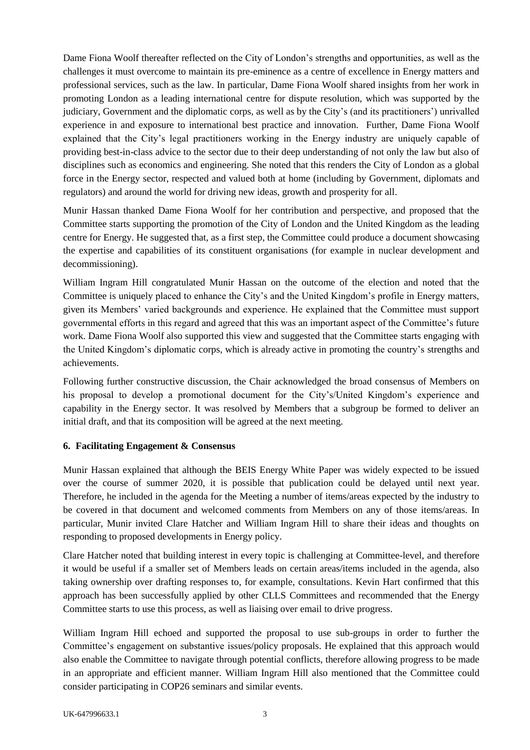Dame Fiona Woolf thereafter reflected on the City of London's strengths and opportunities, as well as the challenges it must overcome to maintain its pre-eminence as a centre of excellence in Energy matters and professional services, such as the law. In particular, Dame Fiona Woolf shared insights from her work in promoting London as a leading international centre for dispute resolution, which was supported by the judiciary, Government and the diplomatic corps, as well as by the City's (and its practitioners') unrivalled experience in and exposure to international best practice and innovation. Further, Dame Fiona Woolf explained that the City's legal practitioners working in the Energy industry are uniquely capable of providing best-in-class advice to the sector due to their deep understanding of not only the law but also of disciplines such as economics and engineering. She noted that this renders the City of London as a global force in the Energy sector, respected and valued both at home (including by Government, diplomats and regulators) and around the world for driving new ideas, growth and prosperity for all.

Munir Hassan thanked Dame Fiona Woolf for her contribution and perspective, and proposed that the Committee starts supporting the promotion of the City of London and the United Kingdom as the leading centre for Energy. He suggested that, as a first step, the Committee could produce a document showcasing the expertise and capabilities of its constituent organisations (for example in nuclear development and decommissioning).

William Ingram Hill congratulated Munir Hassan on the outcome of the election and noted that the Committee is uniquely placed to enhance the City's and the United Kingdom's profile in Energy matters, given its Members' varied backgrounds and experience. He explained that the Committee must support governmental efforts in this regard and agreed that this was an important aspect of the Committee's future work. Dame Fiona Woolf also supported this view and suggested that the Committee starts engaging with the United Kingdom's diplomatic corps, which is already active in promoting the country's strengths and achievements.

Following further constructive discussion, the Chair acknowledged the broad consensus of Members on his proposal to develop a promotional document for the City's/United Kingdom's experience and capability in the Energy sector. It was resolved by Members that a subgroup be formed to deliver an initial draft, and that its composition will be agreed at the next meeting.

### **6. Facilitating Engagement & Consensus**

Munir Hassan explained that although the BEIS Energy White Paper was widely expected to be issued over the course of summer 2020, it is possible that publication could be delayed until next year. Therefore, he included in the agenda for the Meeting a number of items/areas expected by the industry to be covered in that document and welcomed comments from Members on any of those items/areas. In particular, Munir invited Clare Hatcher and William Ingram Hill to share their ideas and thoughts on responding to proposed developments in Energy policy.

Clare Hatcher noted that building interest in every topic is challenging at Committee-level, and therefore it would be useful if a smaller set of Members leads on certain areas/items included in the agenda, also taking ownership over drafting responses to, for example, consultations. Kevin Hart confirmed that this approach has been successfully applied by other CLLS Committees and recommended that the Energy Committee starts to use this process, as well as liaising over email to drive progress.

William Ingram Hill echoed and supported the proposal to use sub-groups in order to further the Committee's engagement on substantive issues/policy proposals. He explained that this approach would also enable the Committee to navigate through potential conflicts, therefore allowing progress to be made in an appropriate and efficient manner. William Ingram Hill also mentioned that the Committee could consider participating in COP26 seminars and similar events.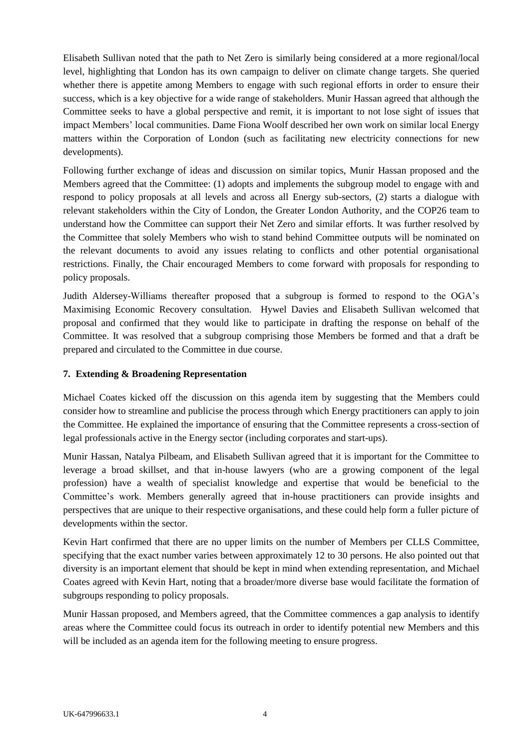Elisabeth Sullivan noted that the path to Net Zero is similarly being considered at a more regional/local level, highlighting that London has its own campaign to deliver on climate change targets. She queried whether there is appetite among Members to engage with such regional efforts in order to ensure their success, which is a key objective for a wide range of stakeholders. Munir Hassan agreed that although the Committee seeks to have a global perspective and remit, it is important to not lose sight of issues that impact Members' local communities. Dame Fiona Woolf described her own work on similar local Energy matters within the Corporation of London (such as facilitating new electricity connections for new developments).

Following further exchange of ideas and discussion on similar topics, Munir Hassan proposed and the Members agreed that the Committee: (1) adopts and implements the subgroup model to engage with and respond to policy proposals at all levels and across all Energy sub-sectors, (2) starts a dialogue with relevant stakeholders within the City of London, the Greater London Authority, and the COP26 team to understand how the Committee can support their Net Zero and similar efforts. It was further resolved by the Committee that solely Members who wish to stand behind Committee outputs will be nominated on the relevant documents to avoid any issues relating to conflicts and other potential organisational restrictions. Finally, the Chair encouraged Members to come forward with proposals for responding to policy proposals.

Judith Aldersey-Williams thereafter proposed that a subgroup is formed to respond to the OGA's Maximising Economic Recovery consultation. Hywel Davies and Elisabeth Sullivan welcomed that proposal and confirmed that they would like to participate in drafting the response on behalf of the Committee. It was resolved that a subgroup comprising those Members be formed and that a draft be prepared and circulated to the Committee in due course.

### **7. Extending & Broadening Representation**

Michael Coates kicked off the discussion on this agenda item by suggesting that the Members could consider how to streamline and publicise the process through which Energy practitioners can apply to join the Committee. He explained the importance of ensuring that the Committee represents a cross-section of legal professionals active in the Energy sector (including corporates and start-ups).

Munir Hassan, Natalya Pilbeam, and Elisabeth Sullivan agreed that it is important for the Committee to leverage a broad skillset, and that in-house lawyers (who are a growing component of the legal profession) have a wealth of specialist knowledge and expertise that would be beneficial to the Committee's work. Members generally agreed that in-house practitioners can provide insights and perspectives that are unique to their respective organisations, and these could help form a fuller picture of developments within the sector.

Kevin Hart confirmed that there are no upper limits on the number of Members per CLLS Committee, specifying that the exact number varies between approximately 12 to 30 persons. He also pointed out that diversity is an important element that should be kept in mind when extending representation, and Michael Coates agreed with Kevin Hart, noting that a broader/more diverse base would facilitate the formation of subgroups responding to policy proposals.

Munir Hassan proposed, and Members agreed, that the Committee commences a gap analysis to identify areas where the Committee could focus its outreach in order to identify potential new Members and this will be included as an agenda item for the following meeting to ensure progress.